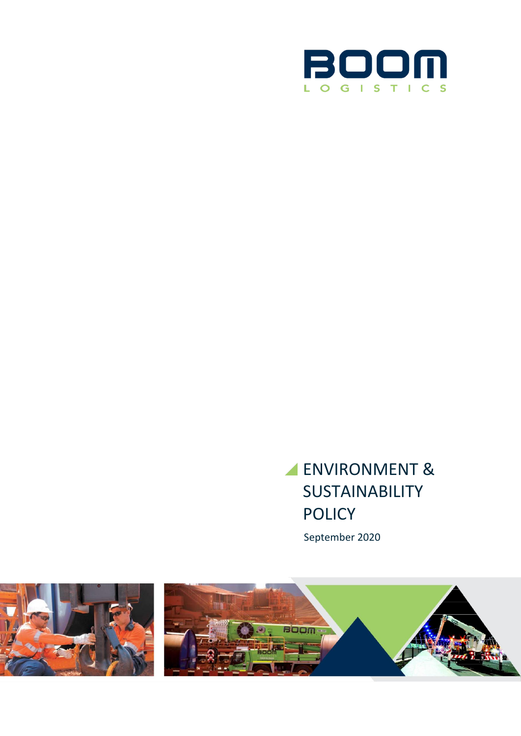

# ENVIRONMENT & **SUSTAINABILITY** POLICY

September 2020